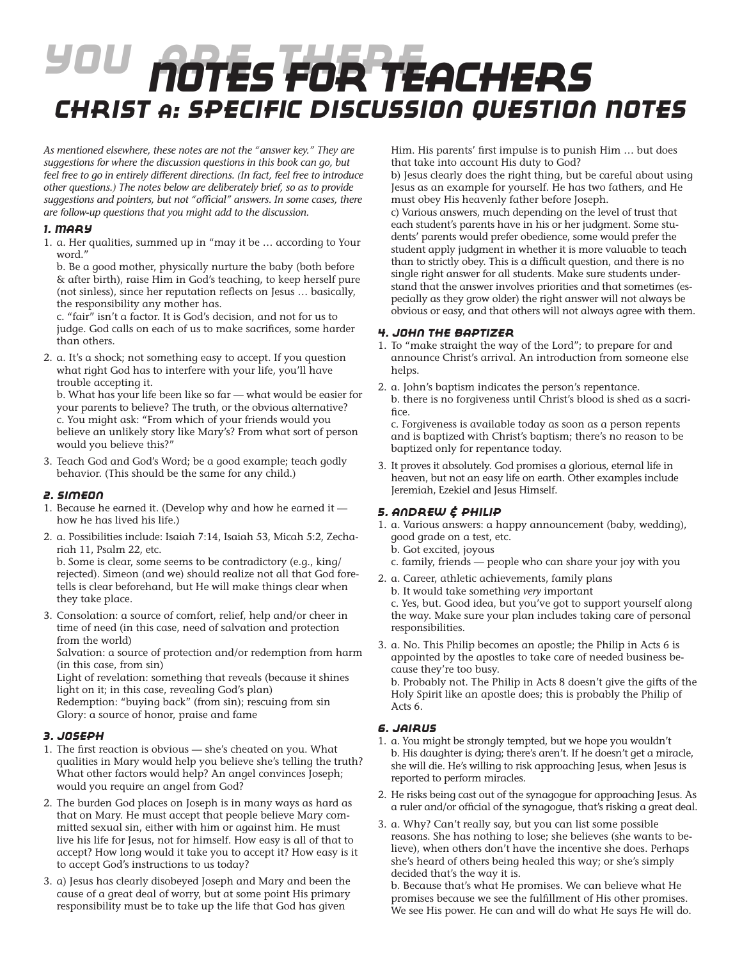# *You Are There Notes for teachers Christ A: Specific Discussion Question Notes*

*As mentioned elsewhere, these notes are not the "answer key." They are suggestions for where the discussion questions in this book can go, but feel free to go in entirely different directions. (In fact, feel free to introduce other questions.) The notes below are deliberately brief, so as to provide suggestions and pointers, but not "official" answers. In some cases, there are follow-up questions that you might add to the discussion.*

## *1. Mary*

1. a. Her qualities, summed up in "may it be ... according to Your word."

b. Be a good mother, physically nurture the baby (both before & after birth), raise Him in God's teaching, to keep herself pure (not sinless), since her reputation reflects on Jesus … basically, the responsibility any mother has.

c. "fair" isn't a factor. It is God's decision, and not for us to judge. God calls on each of us to make sacrifices, some harder than others.

2. a. It's a shock; not something easy to accept. If you question what right God has to interfere with your life, you'll have trouble accepting it.

b. What has your life been like so far — what would be easier for your parents to believe? The truth, or the obvious alternative? c. You might ask: "From which of your friends would you believe an unlikely story like Mary's? From what sort of person would you believe this?"

3. Teach God and God's Word; be a good example; teach godly behavior. (This should be the same for any child.)

#### *2. Simeon*

- 1. Because he earned it. (Develop why and how he earned it  $$ how he has lived his life.)
- 2. a. Possibilities include: Isaiah 7:14, Isaiah 53, Micah 5:2, Zechariah 11, Psalm 22, etc.

b. Some is clear, some seems to be contradictory (e.g., king/ rejected). Simeon (and we) should realize not all that God foretells is clear beforehand, but He will make things clear when they take place.

3. Consolation: a source of comfort, relief, help and/or cheer in time of need (in this case, need of salvation and protection from the world)

Salvation: a source of protection and/or redemption from harm (in this case, from sin)

Light of revelation: something that reveals (because it shines light on it; in this case, revealing God's plan)

Redemption: "buying back" (from sin); rescuing from sin Glory: a source of honor, praise and fame

# *3. Joseph*

- 1. The first reaction is obvious she's cheated on you. What qualities in Mary would help you believe she's telling the truth? What other factors would help? An angel convinces Joseph; would you require an angel from God?
- 2. The burden God places on Joseph is in many ways as hard as that on Mary. He must accept that people believe Mary committed sexual sin, either with him or against him. He must live his life for Jesus, not for himself. How easy is all of that to accept? How long would it take you to accept it? How easy is it to accept God's instructions to us today?
- 3. a) Jesus has clearly disobeyed Joseph and Mary and been the cause of a great deal of worry, but at some point His primary responsibility must be to take up the life that God has given

Him. His parents' first impulse is to punish Him … but does that take into account His duty to God?

b) Jesus clearly does the right thing, but be careful about using Jesus as an example for yourself. He has two fathers, and He must obey His heavenly father before Joseph.

c) Various answers, much depending on the level of trust that each student's parents have in his or her judgment. Some students' parents would prefer obedience, some would prefer the student apply judgment in whether it is more valuable to teach than to strictly obey. This is a difficult question, and there is no single right answer for all students. Make sure students understand that the answer involves priorities and that sometimes (especially as they grow older) the right answer will not always be obvious or easy, and that others will not always agree with them.

## *4. John the Baptizer*

- 1. To "make straight the way of the Lord"; to prepare for and announce Christ's arrival. An introduction from someone else helps.
- 2. a. John's baptism indicates the person's repentance. b. there is no forgiveness until Christ's blood is shed as a sacrifice.

c. Forgiveness is available today as soon as a person repents and is baptized with Christ's baptism; there's no reason to be baptized only for repentance today.

3. It proves it absolutely. God promises a glorious, eternal life in heaven, but not an easy life on earth. Other examples include Jeremiah, Ezekiel and Jesus Himself.

# *5. Andrew & Philip*

- 1. a. Various answers: a happy announcement (baby, wedding), good grade on a test, etc.
	- b. Got excited, joyous
	- c. family, friends people who can share your joy with you
- 2. a. Career, athletic achievements, family plans

b. It would take something *very* important c. Yes, but. Good idea, but you've got to support yourself along the way. Make sure your plan includes taking care of personal responsibilities.

3. a. No. This Philip becomes an apostle; the Philip in Acts 6 is appointed by the apostles to take care of needed business because they're too busy.

b. Probably not. The Philip in Acts 8 doesn't give the gifts of the Holy Spirit like an apostle does; this is probably the Philip of Acts 6.

# *6. Jairus*

- 1. a. You might be strongly tempted, but we hope you wouldn't b. His daughter is dying; there's aren't. If he doesn't get a miracle, she will die. He's willing to risk approaching Jesus, when Jesus is reported to perform miracles.
- 2. He risks being cast out of the synagogue for approaching Jesus. As a ruler and/or official of the synagogue, that's risking a great deal.
- 3. a. Why? Can't really say, but you can list some possible reasons. She has nothing to lose; she believes (she wants to believe), when others don't have the incentive she does. Perhaps she's heard of others being healed this way; or she's simply decided that's the way it is.

b. Because that's what He promises. We can believe what He promises because we see the fulfillment of His other promises. We see His power. He can and will do what He says He will do.